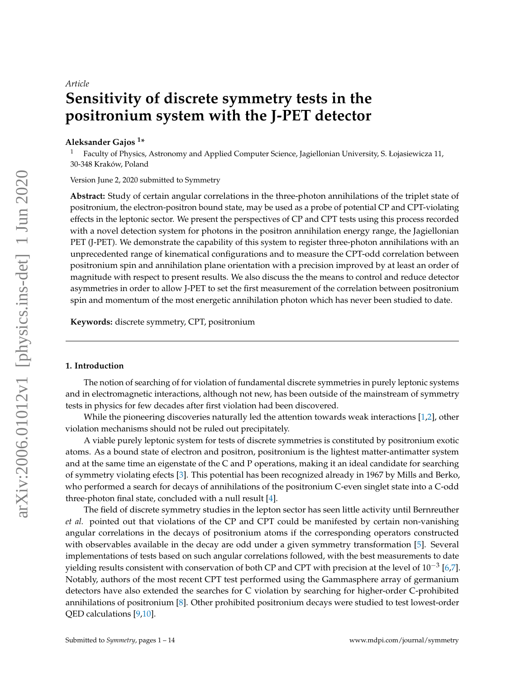# *Article* **Sensitivity of discrete symmetry tests in the positronium system with the J-PET detector**

## **Aleksander Gajos <sup>1</sup> \***

<sup>1</sup> Faculty of Physics, Astronomy and Applied Computer Science, Jagiellonian University, S. Łojasiewicza 11, 30-348 Kraków, Poland

Version June 2, 2020 submitted to Symmetry

**Abstract:** Study of certain angular correlations in the three-photon annihilations of the triplet state of positronium, the electron-positron bound state, may be used as a probe of potential CP and CPT-violating effects in the leptonic sector. We present the perspectives of CP and CPT tests using this process recorded with a novel detection system for photons in the positron annihilation energy range, the Jagiellonian PET (J-PET). We demonstrate the capability of this system to register three-photon annihilations with an unprecedented range of kinematical configurations and to measure the CPT-odd correlation between positronium spin and annihilation plane orientation with a precision improved by at least an order of magnitude with respect to present results. We also discuss the the means to control and reduce detector asymmetries in order to allow J-PET to set the first measurement of the correlation between positronium spin and momentum of the most energetic annihilation photon which has never been studied to date.

**Keywords:** discrete symmetry, CPT, positronium

#### **1. Introduction**

The notion of searching of for violation of fundamental discrete symmetries in purely leptonic systems and in electromagnetic interactions, although not new, has been outside of the mainstream of symmetry tests in physics for few decades after first violation had been discovered.

While the pioneering discoveries naturally led the attention towards weak interactions [\[1,](#page-10-0)[2\]](#page-10-1), other violation mechanisms should not be ruled out precipitately.

A viable purely leptonic system for tests of discrete symmetries is constituted by positronium exotic atoms. As a bound state of electron and positron, positronium is the lightest matter-antimatter system and at the same time an eigenstate of the C and P operations, making it an ideal candidate for searching of symmetry violating efects [\[3\]](#page-10-2). This potential has been recognized already in 1967 by Mills and Berko, who performed a search for decays of annihilations of the positronium C-even singlet state into a C-odd three-photon final state, concluded with a null result [\[4\]](#page-10-3).

The field of discrete symmetry studies in the lepton sector has seen little activity until Bernreuther *et al.* pointed out that violations of the CP and CPT could be manifested by certain non-vanishing angular correlations in the decays of positronium atoms if the corresponding operators constructed with observables available in the decay are odd under a given symmetry transformation [\[5\]](#page-10-4). Several implementations of tests based on such angular correlations followed, with the best measurements to date yielding results consistent with conservation of both CP and CPT with precision at the level of  $10^{-3}$  [\[6](#page-10-5)[,7\]](#page-10-6). Notably, authors of the most recent CPT test performed using the Gammasphere array of germanium detectors have also extended the searches for C violation by searching for higher-order C-prohibited annihilations of positronium [\[8\]](#page-10-7). Other prohibited positronium decays were studied to test lowest-order QED calculations [\[9,](#page-10-8)[10\]](#page-10-9).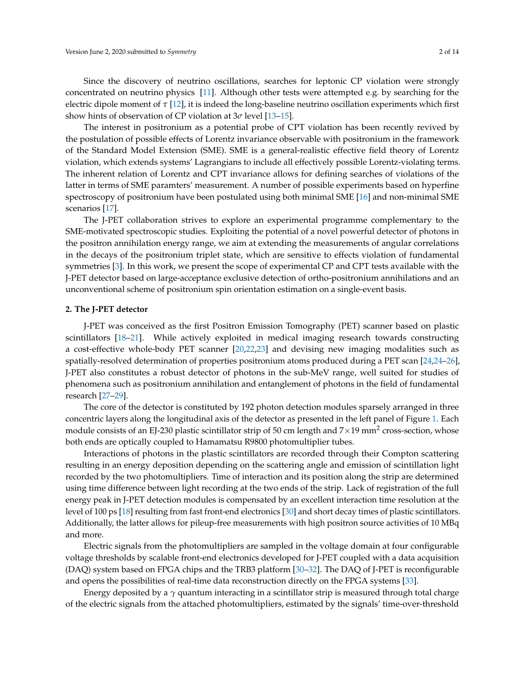Since the discovery of neutrino oscillations, searches for leptonic CP violation were strongly concentrated on neutrino physics [\[11\]](#page-10-10). Although other tests were attempted e.g. by searching for the electric dipole moment of  $\tau$  [\[12\]](#page-11-0), it is indeed the long-baseline neutrino oscillation experiments which first show hints of observation of CP violation at 3*σ* level [\[13](#page-11-1)[–15\]](#page-11-2).

The interest in positronium as a potential probe of CPT violation has been recently revived by the postulation of possible effects of Lorentz invariance observable with positronium in the framework of the Standard Model Extension (SME). SME is a general-realistic effective field theory of Lorentz violation, which extends systems' Lagrangians to include all effectively possible Lorentz-violating terms. The inherent relation of Lorentz and CPT invariance allows for defining searches of violations of the latter in terms of SME paramters' measurement. A number of possible experiments based on hyperfine spectroscopy of positronium have been postulated using both minimal SME [\[16\]](#page-11-3) and non-minimal SME scenarios [\[17\]](#page-11-4).

The J-PET collaboration strives to explore an experimental programme complementary to the SME-motivated spectroscopic studies. Exploiting the potential of a novel powerful detector of photons in the positron annihilation energy range, we aim at extending the measurements of angular correlations in the decays of the positronium triplet state, which are sensitive to effects violation of fundamental symmetries [\[3\]](#page-10-2). In this work, we present the scope of experimental CP and CPT tests available with the J-PET detector based on large-acceptance exclusive detection of ortho-positronium annihilations and an unconventional scheme of positronium spin orientation estimation on a single-event basis.

#### **2. The J-PET detector**

J-PET was conceived as the first Positron Emission Tomography (PET) scanner based on plastic scintillators [\[18](#page-11-5)[–21\]](#page-11-6). While actively exploited in medical imaging research towards constructing a cost-effective whole-body PET scanner [\[20,](#page-11-7)[22,](#page-11-8)[23\]](#page-11-9) and devising new imaging modalities such as spatially-resolved determination of properties positronium atoms produced during a PET scan [\[24,24](#page-11-10)[–26\]](#page-11-11), J-PET also constitutes a robust detector of photons in the sub-MeV range, well suited for studies of phenomena such as positronium annihilation and entanglement of photons in the field of fundamental research [\[27–](#page-11-12)[29\]](#page-11-13).

The core of the detector is constituted by 192 photon detection modules sparsely arranged in three concentric layers along the longitudinal axis of the detector as presented in the left panel of Figure [1.](#page-2-0) Each module consists of an EJ-230 plastic scintillator strip of 50 cm length and 7 $\times$ 19 mm<sup>2</sup> cross-section, whose both ends are optically coupled to Hamamatsu R9800 photomultiplier tubes.

Interactions of photons in the plastic scintillators are recorded through their Compton scattering resulting in an energy deposition depending on the scattering angle and emission of scintillation light recorded by the two photomultipliers. Time of interaction and its position along the strip are determined using time difference between light recording at the two ends of the strip. Lack of registration of the full energy peak in J-PET detection modules is compensated by an excellent interaction time resolution at the level of 100 ps [\[18\]](#page-11-5) resulting from fast front-end electronics [\[30\]](#page-11-14) and short decay times of plastic scintillators. Additionally, the latter allows for pileup-free measurements with high positron source activities of 10 MBq and more.

Electric signals from the photomultipliers are sampled in the voltage domain at four configurable voltage thresholds by scalable front-end electronics developed for J-PET coupled with a data acquisition (DAQ) system based on FPGA chips and the TRB3 platform [\[30–](#page-11-14)[32\]](#page-11-15). The DAQ of J-PET is reconfigurable and opens the possibilities of real-time data reconstruction directly on the FPGA systems [\[33\]](#page-12-0).

Energy deposited by a *γ* quantum interacting in a scintillator strip is measured through total charge of the electric signals from the attached photomultipliers, estimated by the signals' time-over-threshold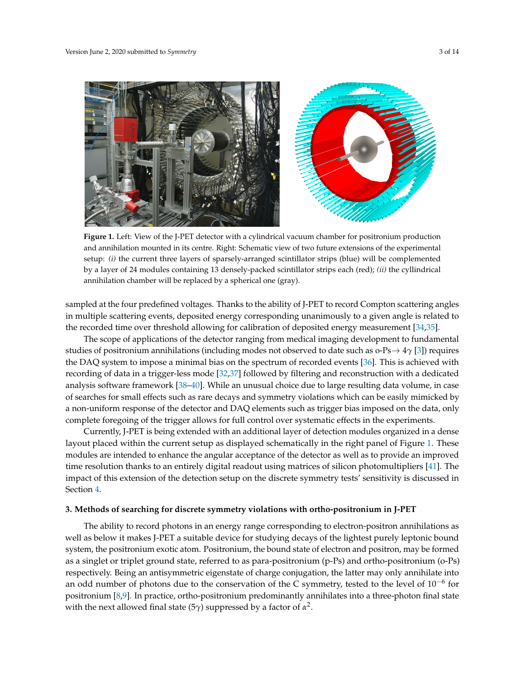<span id="page-2-0"></span>

**Figure 1.** Left: View of the J-PET detector with a cylindrical vacuum chamber for positronium production and annihilation mounted in its centre. Right: Schematic view of two future extensions of the experimental setup: *(i)* the current three layers of sparsely-arranged scintillator strips (blue) will be complemented by a layer of 24 modules containing 13 densely-packed scintillator strips each (red); *(ii)* the cyllindrical annihilation chamber will be replaced by a spherical one (gray).

sampled at the four predefined voltages. Thanks to the ability of J-PET to record Compton scattering angles in multiple scattering events, deposited energy corresponding unanimously to a given angle is related to the recorded time over threshold allowing for calibration of deposited energy measurement [\[34](#page-12-1)[,35\]](#page-12-2).

The scope of applications of the detector ranging from medical imaging development to fundamental studies of positronium annihilations (including modes not observed to date such as o-Ps→ 4*γ* [\[3\]](#page-10-2)) requires the DAQ system to impose a minimal bias on the spectrum of recorded events [\[36\]](#page-12-3). This is achieved with recording of data in a trigger-less mode [\[32,](#page-11-15)[37\]](#page-12-4) followed by filtering and reconstruction with a dedicated analysis software framework [\[38](#page-12-5)[–40\]](#page-12-6). While an unusual choice due to large resulting data volume, in case of searches for small effects such as rare decays and symmetry violations which can be easily mimicked by a non-uniform response of the detector and DAQ elements such as trigger bias imposed on the data, only complete foregoing of the trigger allows for full control over systematic effects in the experiments.

Currently, J-PET is being extended with an additional layer of detection modules organized in a dense layout placed within the current setup as displayed schematically in the right panel of Figure [1.](#page-2-0) These modules are intended to enhance the angular acceptance of the detector as well as to provide an improved time resolution thanks to an entirely digital readout using matrices of silicon photomultipliers [\[41\]](#page-12-7). The impact of this extension of the detection setup on the discrete symmetry tests' sensitivity is discussed in Section [4.](#page-9-0)

#### **3. Methods of searching for discrete symmetry violations with ortho-positronium in J-PET**

The ability to record photons in an energy range corresponding to electron-positron annihilations as well as below it makes J-PET a suitable device for studying decays of the lightest purely leptonic bound system, the positronium exotic atom. Positronium, the bound state of electron and positron, may be formed as a singlet or triplet ground state, referred to as para-positronium (p-Ps) and ortho-positronium (o-Ps) respectively. Being an antisymmetric eigenstate of charge conjugation, the latter may only annihilate into an odd number of photons due to the conservation of the C symmetry, tested to the level of  $10^{-6}$  for positronium [\[8,](#page-10-7)[9\]](#page-10-8). In practice, ortho-positronium predominantly annihilates into a three-photon final state with the next allowed final state (5 $\gamma$ ) suppressed by a factor of  $\alpha^2$ .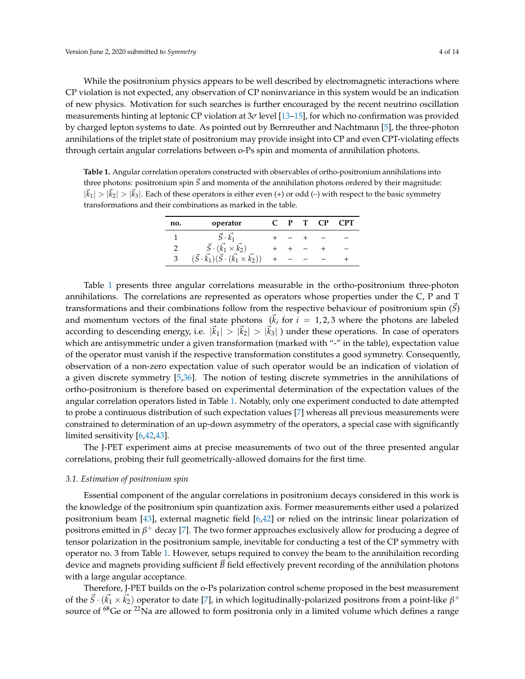While the positronium physics appears to be well described by electromagnetic interactions where CP violation is not expected, any observation of CP noninvariance in this system would be an indication of new physics. Motivation for such searches is further encouraged by the recent neutrino oscillation measurements hinting at leptonic CP violation at 3*σ* level [\[13](#page-11-1)[–15\]](#page-11-2), for which no confirmation was provided by charged lepton systems to date. As pointed out by Bernreuther and Nachtmann [\[5\]](#page-10-4), the three-photon annihilations of the triplet state of positronium may provide insight into CP and even CPT-violating effects through certain angular correlations between o-Ps spin and momenta of annihilation photons.

<span id="page-3-0"></span>**Table 1.** Angular correlation operators constructed with observables of ortho-positronium annihilations into three photons: positronium spin  $\vec{S}$  and momenta of the annihilation photons ordered by their magnitude:  $|\vec{k}_1|>|\vec{k}_2|>|\vec{k}_3|$ . Each of these operators is either even (+) or odd (-) with respect to the basic symmetry transformations and their combinations as marked in the table.

| no. | operator                                                                 |  | P T CP | <b>CPT</b> |
|-----|--------------------------------------------------------------------------|--|--------|------------|
|     | $S \cdot k_1$                                                            |  |        |            |
|     | $\vec{S} \cdot (\vec{k_1} \times \vec{k_2})$                             |  |        |            |
| 3   | $(\vec{S} \cdot \vec{k_1}) (\vec{S} \cdot (\vec{k_1} \times \vec{k_2}))$ |  |        |            |

Table [1](#page-3-0) presents three angular correlations measurable in the ortho-positronium three-photon annihilations. The correlations are represented as operators whose properties under the C, P and T transformations and their combinations follow from the respective behaviour of positronium spin (*S*) and momentum vectors of the final state photons  $(\vec{k}_i)$  for  $i = 1, 2, 3$  where the photons are labeled according to descending energy, i.e.  $|\vec{k}_1| > |\vec{k}_2| > |\vec{k}_3|$  ) under these operations. In case of operators which are antisymmetric under a given transformation (marked with "-" in the table), expectation value of the operator must vanish if the respective transformation constitutes a good symmetry. Consequently, observation of a non-zero expectation value of such operator would be an indication of violation of a given discrete symmetry [\[5](#page-10-4)[,36\]](#page-12-3). The notion of testing discrete symmetries in the annihilations of ortho-positronium is therefore based on experimental determination of the expectation values of the angular correlation operators listed in Table [1.](#page-3-0) Notably, only one experiment conducted to date attempted to probe a continuous distribution of such expectation values [\[7\]](#page-10-6) whereas all previous measurements were constrained to determination of an up-down asymmetry of the operators, a special case with significantly limited sensitivity [\[6](#page-10-5)[,42,](#page-12-8)[43\]](#page-12-9).

The J-PET experiment aims at precise measurements of two out of the three presented angular correlations, probing their full geometrically-allowed domains for the first time.

#### <span id="page-3-1"></span>*3.1. Estimation of positronium spin*

Essential component of the angular correlations in positronium decays considered in this work is the knowledge of the positronium spin quantization axis. Former measurements either used a polarized positronium beam [\[43\]](#page-12-9), external magnetic field [\[6,](#page-10-5)[42\]](#page-12-8) or relied on the intrinsic linear polarization of positrons emitted in  $\beta^+$  decay [\[7\]](#page-10-6). The two former approaches exclusively allow for producing a degree of tensor polarization in the positronium sample, inevitable for conducting a test of the CP symmetry with operator no. 3 from Table [1.](#page-3-0) However, setups required to convey the beam to the annihilaition recording device and magnets providing sufficient  $B$  field effectively prevent recording of the annihilation photons with a large angular acceptance.

Therefore, J-PET builds on the o-Ps polarization control scheme proposed in the best measurement of the  $\vec{S}\cdot(\vec{k_1}\times\vec{k_2})$  operator to date [\[7\]](#page-10-6), in which logitudinally-polarized positrons from a point-like  $\beta^+$ source of  $^{68}$ Ge or  $^{22}$ Na are allowed to form positronia only in a limited volume which defines a range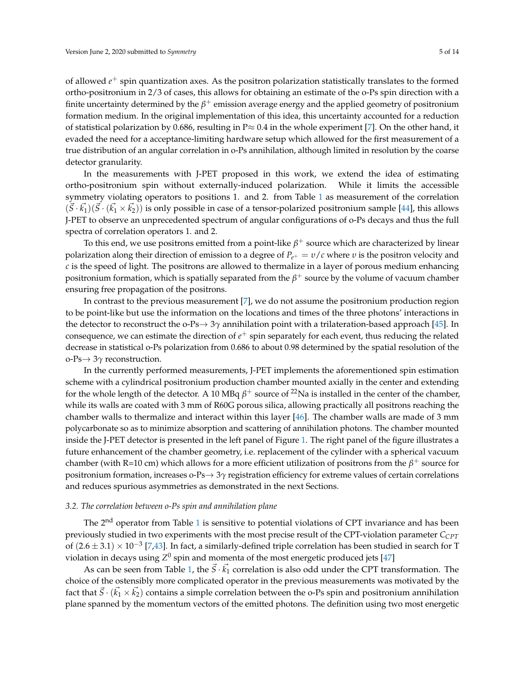of allowed *e* <sup>+</sup> spin quantization axes. As the positron polarization statistically translates to the formed ortho-positronium in 2/3 of cases, this allows for obtaining an estimate of the o-Ps spin direction with a finite uncertainty determined by the  $\beta^+$  emission average energy and the applied geometry of positronium formation medium. In the original implementation of this idea, this uncertainty accounted for a reduction of statistical polarization by 0.686, resulting in  $P \approx 0.4$  in the whole experiment [\[7\]](#page-10-6). On the other hand, it evaded the need for a acceptance-limiting hardware setup which allowed for the first measurement of a true distribution of an angular correlation in o-Ps annihilation, although limited in resolution by the coarse detector granularity.

In the measurements with J-PET proposed in this work, we extend the idea of estimating ortho-positronium spin without externally-induced polarization. While it limits the accessible symmetry violating operators to positions 1. and 2. from Table [1](#page-3-0) as measurement of the correlation  $(\vec{S} \cdot \vec{k_1})(\vec{S} \cdot (\vec{k_1} \times \vec{k_2}))$  is only possible in case of a tensor-polarized positronium sample [\[44\]](#page-12-10), this allows J-PET to observe an unprecedented spectrum of angular configurations of o-Ps decays and thus the full spectra of correlation operators 1. and 2.

To this end, we use positrons emitted from a point-like  $\beta^+$  source which are characterized by linear polarization along their direction of emission to a degree of *Pe*<sup>+</sup> = *υ*/*c* where *υ* is the positron velocity and *c* is the speed of light. The positrons are allowed to thermalize in a layer of porous medium enhancing positronium formation, which is spatially separated from the  $\beta^+$  source by the volume of vacuum chamber ensuring free propagation of the positrons.

In contrast to the previous measurement [\[7\]](#page-10-6), we do not assume the positronium production region to be point-like but use the information on the locations and times of the three photons' interactions in the detector to reconstruct the o-Ps→ 3*γ* annihilation point with a trilateration-based approach [\[45\]](#page-12-11). In consequence, we can estimate the direction of *e* <sup>+</sup> spin separately for each event, thus reducing the related decrease in statistical o-Ps polarization from 0.686 to about 0.98 determined by the spatial resolution of the o-Ps→ 3*γ* reconstruction.

In the currently performed measurements, J-PET implements the aforementioned spin estimation scheme with a cylindrical positronium production chamber mounted axially in the center and extending for the whole length of the detector. A 10 MBq  $\beta^+$  source of <sup>22</sup>Na is installed in the center of the chamber, while its walls are coated with 3 mm of R60G porous silica, allowing practically all positrons reaching the chamber walls to thermalize and interact within this layer [\[46\]](#page-12-12). The chamber walls are made of 3 mm polycarbonate so as to minimize absorption and scattering of annihilation photons. The chamber mounted inside the J-PET detector is presented in the left panel of Figure [1.](#page-2-0) The right panel of the figure illustrates a future enhancement of the chamber geometry, i.e. replacement of the cylinder with a spherical vacuum chamber (with R=10 cm) which allows for a more efficient utilization of positrons from the  $\beta^+$  source for positronium formation, increases o-Ps→ 3*γ* registration efficiency for extreme values of certain correlations and reduces spurious asymmetries as demonstrated in the next Sections.

### <span id="page-4-0"></span>*3.2. The correlation between o-Ps spin and annihilation plane*

The 2<sup>nd</sup> operator from Table [1](#page-3-0) is sensitive to potential violations of CPT invariance and has been previously studied in two experiments with the most precise result of the CPT-violation parameter *CCPT* of  $(2.6 \pm 3.1) \times 10^{-3}$  [\[7](#page-10-6)[,43\]](#page-12-9). In fact, a similarly-defined triple correlation has been studied in search for T violation in decays using  $Z^0$  spin and momenta of the most energetic produced jets [\[47\]](#page-12-13)

As can be seen from Table [1,](#page-3-0) the  $\vec{S} \cdot \vec{k_1}$  correlation is also odd under the CPT transformation. The choice of the ostensibly more complicated operator in the previous measurements was motivated by the fact that  $\vec{S}\cdot(\vec{k_1}\times\vec{k_2})$  contains a simple correlation between the o-Ps spin and positronium annihilation plane spanned by the momentum vectors of the emitted photons. The definition using two most energetic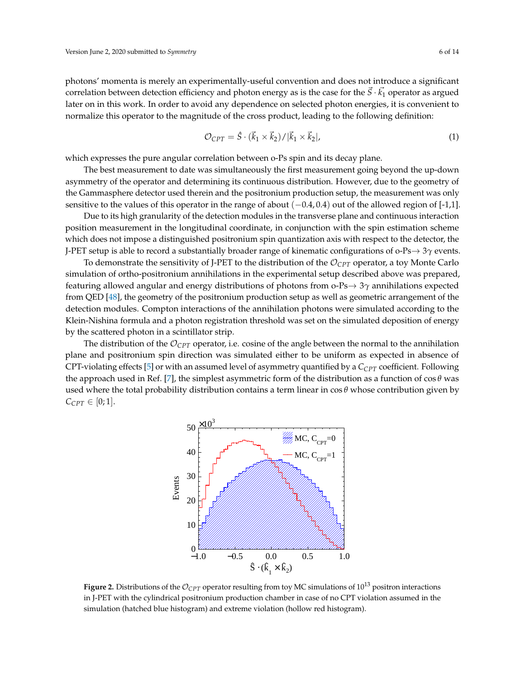photons' momenta is merely an experimentally-useful convention and does not introduce a significant correlation between detection efficiency and photon energy as is the case for the  $\vec{S}\cdot\vec{k_1}$  operator as argued later on in this work. In order to avoid any dependence on selected photon energies, it is convenient to normalize this operator to the magnitude of the cross product, leading to the following definition:

<span id="page-5-1"></span>
$$
\mathcal{O}_{CPT} = \hat{S} \cdot (\vec{k}_1 \times \vec{k}_2) / |\vec{k}_1 \times \vec{k}_2|,\tag{1}
$$

which expresses the pure angular correlation between o-Ps spin and its decay plane.

The best measurement to date was simultaneously the first measurement going beyond the up-down asymmetry of the operator and determining its continuous distribution. However, due to the geometry of the Gammasphere detector used therein and the positronium production setup, the measurement was only sensitive to the values of this operator in the range of about  $(-0.4, 0.4)$  out of the allowed region of [-1,1].

Due to its high granularity of the detection modules in the transverse plane and continuous interaction position measurement in the longitudinal coordinate, in conjunction with the spin estimation scheme which does not impose a distinguished positronium spin quantization axis with respect to the detector, the J-PET setup is able to record a substantially broader range of kinematic configurations of o-Ps→ 3*γ* events.

To demonstrate the sensitivity of J-PET to the distribution of the O*CPT* operator, a toy Monte Carlo simulation of ortho-positronium annihilations in the experimental setup described above was prepared, featuring allowed angular and energy distributions of photons from o-Ps→ 3*γ* annihilations expected from QED [\[48\]](#page-12-14), the geometry of the positronium production setup as well as geometric arrangement of the detection modules. Compton interactions of the annihilation photons were simulated according to the Klein-Nishina formula and a photon registration threshold was set on the simulated deposition of energy by the scattered photon in a scintillator strip.

<span id="page-5-0"></span>The distribution of the  $\mathcal{O}_{CPT}$  operator, i.e. cosine of the angle between the normal to the annihilation plane and positronium spin direction was simulated either to be uniform as expected in absence of CPT-violating effects [\[5\]](#page-10-4) or with an assumed level of asymmetry quantified by a *CCPT* coefficient. Following the approach used in Ref. [\[7\]](#page-10-6), the simplest asymmetric form of the distribution as a function of  $\cos \theta$  was used where the total probability distribution contains a term linear in cos *θ* whose contribution given by  $C_{CPT} \in [0;1].$ 



**Figure 2.** Distributions of the  $\mathcal{O}_{CPT}$  operator resulting from toy MC simulations of  $10^{13}$  positron interactions in J-PET with the cylindrical positronium production chamber in case of no CPT violation assumed in the simulation (hatched blue histogram) and extreme violation (hollow red histogram).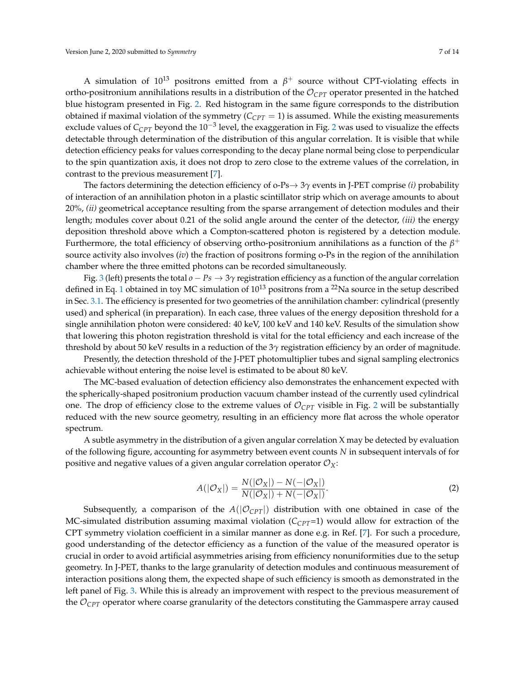A simulation of  $10^{13}$  positrons emitted from a  $\beta^+$  source without CPT-violating effects in ortho-positronium annihilations results in a distribution of the  $\mathcal{O}_{CPT}$  operator presented in the hatched blue histogram presented in Fig. [2.](#page-5-0) Red histogram in the same figure corresponds to the distribution obtained if maximal violation of the symmetry  $(C_{CPT} = 1)$  is assumed. While the existing measurements exclude values of C<sub>CPT</sub> beyond the 10<sup>−3</sup> level, the exaggeration in Fig. [2](#page-5-0) was used to visualize the effects detectable through determination of the distribution of this angular correlation. It is visible that while detection efficiency peaks for values corresponding to the decay plane normal being close to perpendicular to the spin quantization axis, it does not drop to zero close to the extreme values of the correlation, in contrast to the previous measurement [\[7\]](#page-10-6).

The factors determining the detection efficiency of o-Ps→ 3*γ* events in J-PET comprise *(i)* probability of interaction of an annihilation photon in a plastic scintillator strip which on average amounts to about 20%, *(ii)* geometrical acceptance resulting from the sparse arrangement of detection modules and their length; modules cover about 0.21 of the solid angle around the center of the detector, *(iii)* the energy deposition threshold above which a Compton-scattered photon is registered by a detection module. Furthermore, the total efficiency of observing ortho-positronium annihilations as a function of the  $\beta^+$ source activity also involves (*iv*) the fraction of positrons forming o-Ps in the region of the annihilation chamber where the three emitted photons can be recorded simultaneously.

Fig. [3](#page-7-0) (left) presents the total  $o - Ps \rightarrow 3\gamma$  registration efficiency as a function of the angular correlation defined in Eq. [1](#page-5-1) obtained in toy MC simulation of  $10^{13}$  positrons from a <sup>22</sup>Na source in the setup described in Sec. [3.1.](#page-3-1) The efficiency is presented for two geometries of the annihilation chamber: cylindrical (presently used) and spherical (in preparation). In each case, three values of the energy deposition threshold for a single annihilation photon were considered: 40 keV, 100 keV and 140 keV. Results of the simulation show that lowering this photon registration threshold is vital for the total efficiency and each increase of the threshold by about 50 keV results in a reduction of the 3*γ* registration efficiency by an order of magnitude.

Presently, the detection threshold of the J-PET photomultiplier tubes and signal sampling electronics achievable without entering the noise level is estimated to be about 80 keV.

The MC-based evaluation of detection efficiency also demonstrates the enhancement expected with the spherically-shaped positronium production vacuum chamber instead of the currently used cylindrical one. The drop of efficiency close to the extreme values of  $\mathcal{O}_{CPT}$  visible in Fig. [2](#page-5-0) will be substantially reduced with the new source geometry, resulting in an efficiency more flat across the whole operator spectrum.

A subtle asymmetry in the distribution of a given angular correlation X may be detected by evaluation of the following figure, accounting for asymmetry between event counts *N* in subsequent intervals of for positive and negative values of a given angular correlation operator  $\mathcal{O}_X$ :

<span id="page-6-0"></span>
$$
A(|\mathcal{O}_X|) = \frac{N(|\mathcal{O}_X|) - N(-|\mathcal{O}_X|)}{N(|\mathcal{O}_X|) + N(-|\mathcal{O}_X|)}.
$$
 (2)

Subsequently, a comparison of the  $A(|\mathcal{O}_{CPT}|)$  distribution with one obtained in case of the MC-simulated distribution assuming maximal violation  $(C_{CPT}=1)$  would allow for extraction of the CPT symmetry violation coefficient in a similar manner as done e.g. in Ref. [\[7\]](#page-10-6). For such a procedure, good understanding of the detector efficiency as a function of the value of the measured operator is crucial in order to avoid artificial asymmetries arising from efficiency nonuniformities due to the setup geometry. In J-PET, thanks to the large granularity of detection modules and continuous measurement of interaction positions along them, the expected shape of such efficiency is smooth as demonstrated in the left panel of Fig. [3.](#page-7-0) While this is already an improvement with respect to the previous measurement of the O*CPT* operator where coarse granularity of the detectors constituting the Gammaspere array caused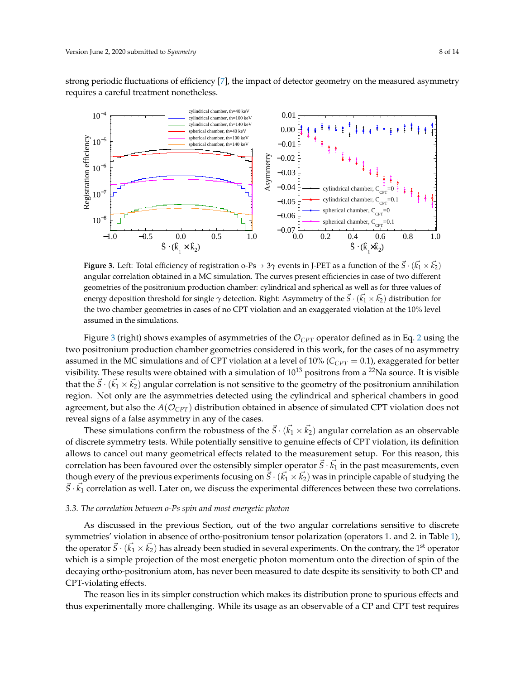strong periodic fluctuations of efficiency [\[7\]](#page-10-6), the impact of detector geometry on the measured asymmetry requires a careful treatment nonetheless.

<span id="page-7-0"></span>

**Figure 3.** Left: Total efficiency of registration o-Ps $\to 3\gamma$  events in J-PET as a function of the  $\vec{S} \cdot (\vec{k_1} \times \vec{k_2})$ angular correlation obtained in a MC simulation. The curves present efficiencies in case of two different geometries of the positronium production chamber: cylindrical and spherical as well as for three values of energy deposition threshold for single  $\gamma$  detection. Right: Asymmetry of the  $\vec S\cdot(\vec{k_1}\times\vec{k_2})$  distribution for the two chamber geometries in cases of no CPT violation and an exaggerated violation at the 10% level assumed in the simulations.

Figure [3](#page-7-0) (right) shows examples of asymmetries of the  $\mathcal{O}_{CPT}$  operator defined as in Eq. [2](#page-6-0) using the two positronium production chamber geometries considered in this work, for the cases of no asymmetry assumed in the MC simulations and of CPT violation at a level of 10% (*CCPT* = 0.1), exaggerated for better visibility. These results were obtained with a simulation of  $10^{13}$  positrons from a <sup>22</sup>Na source. It is visible that the  $\vec{S}\cdot(\vec{k_1}\times\vec{k_2})$  angular correlation is not sensitive to the geometry of the positronium annihilation region. Not only are the asymmetries detected using the cylindrical and spherical chambers in good agreement, but also the  $A(\mathcal{O}_{CPT})$  distribution obtained in absence of simulated CPT violation does not reveal signs of a false asymmetry in any of the cases.

These simulations confirm the robustness of the  $\vec{S} \cdot (\vec{k_1} \times \vec{k_2})$  angular correlation as an observable of discrete symmetry tests. While potentially sensitive to genuine effects of CPT violation, its definition allows to cancel out many geometrical effects related to the measurement setup. For this reason, this correlation has been favoured over the ostensibly simpler operator  $\vec{S}\cdot\vec{k_1}$  in the past measurements, even though every of the previous experiments focusing on  $\vec{S}\cdot(\vec{k_1}\times\vec{k_2})$  was in principle capable of studying the  $\vec{S} \cdot \vec{k_1}$  correlation as well. Later on, we discuss the experimental differences between these two correlations.

#### <span id="page-7-1"></span>*3.3. The correlation between o-Ps spin and most energetic photon*

As discussed in the previous Section, out of the two angular correlations sensitive to discrete symmetries' violation in absence of ortho-positronium tensor polarization (operators 1. and 2. in Table [1\)](#page-3-0), the operator  $\vec{S}\cdot(\vec{k_1}\times\vec{k_2})$  has already been studied in several experiments. On the contrary, the 1<sup>st</sup> operator which is a simple projection of the most energetic photon momentum onto the direction of spin of the decaying ortho-positronium atom, has never been measured to date despite its sensitivity to both CP and CPT-violating effects.

The reason lies in its simpler construction which makes its distribution prone to spurious effects and thus experimentally more challenging. While its usage as an observable of a CP and CPT test requires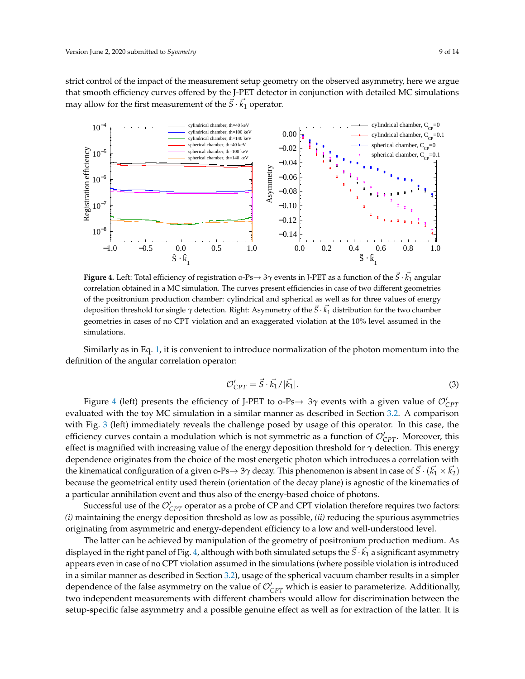strict control of the impact of the measurement setup geometry on the observed asymmetry, here we argue that smooth efficiency curves offered by the J-PET detector in conjunction with detailed MC simulations may allow for the first measurement of the  $\vec{S} \cdot \vec{k_1}$  operator.

<span id="page-8-0"></span>

**Figure 4.** Left: Total efficiency of registration o-Ps $\to$  3 $\gamma$  events in J-PET as a function of the  $\vec{S} \cdot \vec{k_1}$  angular correlation obtained in a MC simulation. The curves present efficiencies in case of two different geometries of the positronium production chamber: cylindrical and spherical as well as for three values of energy deposition threshold for single *γ* detection. Right: Asymmetry of the ~*S* · *k*~ <sup>1</sup> distribution for the two chamber geometries in cases of no CPT violation and an exaggerated violation at the 10% level assumed in the simulations.

Similarly as in Eq. [1,](#page-5-1) it is convenient to introduce normalization of the photon momentum into the definition of the angular correlation operator:

$$
\mathcal{O}_{CPT}' = \vec{S} \cdot \vec{k_1} / |\vec{k_1}|. \tag{3}
$$

Figure [4](#page-8-0) (left) presents the efficiency of J-PET to o-Ps $\rightarrow$  3 $\gamma$  events with a given value of  $\mathcal{O}_{CPT}'$ evaluated with the toy MC simulation in a similar manner as described in Section [3.2.](#page-4-0) A comparison with Fig. [3](#page-7-0) (left) immediately reveals the challenge posed by usage of this operator. In this case, the efficiency curves contain a modulation which is not symmetric as a function of  $\mathcal{O}_{CPT}^{\prime}$ . Moreover, this effect is magnified with increasing value of the energy deposition threshold for *γ* detection. This energy dependence originates from the choice of the most energetic photon which introduces a correlation with the kinematical configuration of a given o-Ps $\to$  3 $\gamma$  decay. This phenomenon is absent in case of  $\vec{S}\cdot(\vec{k_1}\times\vec{k_2})$ because the geometrical entity used therein (orientation of the decay plane) is agnostic of the kinematics of a particular annihilation event and thus also of the energy-based choice of photons.

Successful use of the  $\mathcal{O}_{CPT}'$  operator as a probe of CP and CPT violation therefore requires two factors: *(i)* maintaining the energy deposition threshold as low as possible, *(ii)* reducing the spurious asymmetries originating from asymmetric and energy-dependent efficiency to a low and well-understood level.

The latter can be achieved by manipulation of the geometry of positronium production medium. As displayed in the right panel of Fig. [4,](#page-8-0) although with both simulated setups the  $\vec S\cdot \hat{k_1}$  a significant asymmetry appears even in case of no CPT violation assumed in the simulations (where possible violation is introduced in a similar manner as described in Section [3.2\)](#page-4-0), usage of the spherical vacuum chamber results in a simpler dependence of the false asymmetry on the value of  $\mathcal{O}_{CPT}'$  which is easier to parameterize. Additionally, two independent measurements with different chambers would allow for discrimination between the setup-specific false asymmetry and a possible genuine effect as well as for extraction of the latter. It is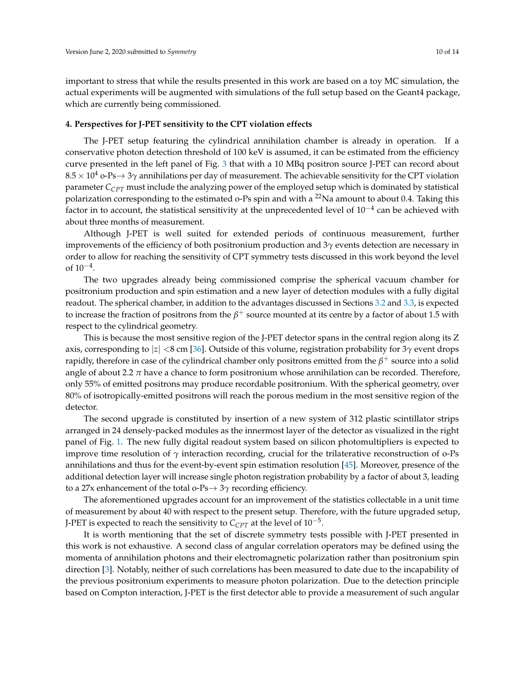important to stress that while the results presented in this work are based on a toy MC simulation, the actual experiments will be augmented with simulations of the full setup based on the Geant4 package, which are currently being commissioned.

#### <span id="page-9-0"></span>**4. Perspectives for J-PET sensitivity to the CPT violation effects**

The J-PET setup featuring the cylindrical annihilation chamber is already in operation. If a conservative photon detection threshold of 100 keV is assumed, it can be estimated from the efficiency curve presented in the left panel of Fig. [3](#page-7-0) that with a 10 MBq positron source J-PET can record about 8.5 × 10<sup>4</sup> o-Ps→ 3*γ* annihilations per day of measurement. The achievable sensitivity for the CPT violation parameter *CCPT* must include the analyzing power of the employed setup which is dominated by statistical polarization corresponding to the estimated o-Ps spin and with a  $^{22}$ Na amount to about 0.4. Taking this factor in to account, the statistical sensitivity at the unprecedented level of 10 $^{-4}$  can be achieved with about three months of measurement.

Although J-PET is well suited for extended periods of continuous measurement, further improvements of the efficiency of both positronium production and 3*γ* events detection are necessary in order to allow for reaching the sensitivity of CPT symmetry tests discussed in this work beyond the level of  $10^{-4}$ .

The two upgrades already being commissioned comprise the spherical vacuum chamber for positronium production and spin estimation and a new layer of detection modules with a fully digital readout. The spherical chamber, in addition to the advantages discussed in Sections [3.2](#page-4-0) and [3.3,](#page-7-1) is expected to increase the fraction of positrons from the  $\beta^+$  source mounted at its centre by a factor of about 1.5 with respect to the cylindrical geometry.

This is because the most sensitive region of the J-PET detector spans in the central region along its Z axis, corresponding to |*z*| <8 cm [\[36\]](#page-12-3). Outside of this volume, registration probability for 3*γ* event drops rapidly, therefore in case of the cylindrical chamber only positrons emitted from the  $\beta^+$  source into a solid angle of about 2.2  $\pi$  have a chance to form positronium whose annihilation can be recorded. Therefore, only 55% of emitted positrons may produce recordable positronium. With the spherical geometry, over 80% of isotropically-emitted positrons will reach the porous medium in the most sensitive region of the detector.

The second upgrade is constituted by insertion of a new system of 312 plastic scintillator strips arranged in 24 densely-packed modules as the innermost layer of the detector as visualized in the right panel of Fig. [1.](#page-2-0) The new fully digital readout system based on silicon photomultipliers is expected to improve time resolution of *γ* interaction recording, crucial for the trilaterative reconstruction of o-Ps annihilations and thus for the event-by-event spin estimation resolution [\[45\]](#page-12-11). Moreover, presence of the additional detection layer will increase single photon registration probability by a factor of about 3, leading to a 27x enhancement of the total o-Ps→ 3*γ* recording efficiency.

The aforementioned upgrades account for an improvement of the statistics collectable in a unit time of measurement by about 40 with respect to the present setup. Therefore, with the future upgraded setup, J-PET is expected to reach the sensitivity to  $C_{CPT}$  at the level of  $10^{-5}$ .

It is worth mentioning that the set of discrete symmetry tests possible with J-PET presented in this work is not exhaustive. A second class of angular correlation operators may be defined using the momenta of annihilation photons and their electromagnetic polarization rather than positronium spin direction [\[3\]](#page-10-2). Notably, neither of such correlations has been measured to date due to the incapability of the previous positronium experiments to measure photon polarization. Due to the detection principle based on Compton interaction, J-PET is the first detector able to provide a measurement of such angular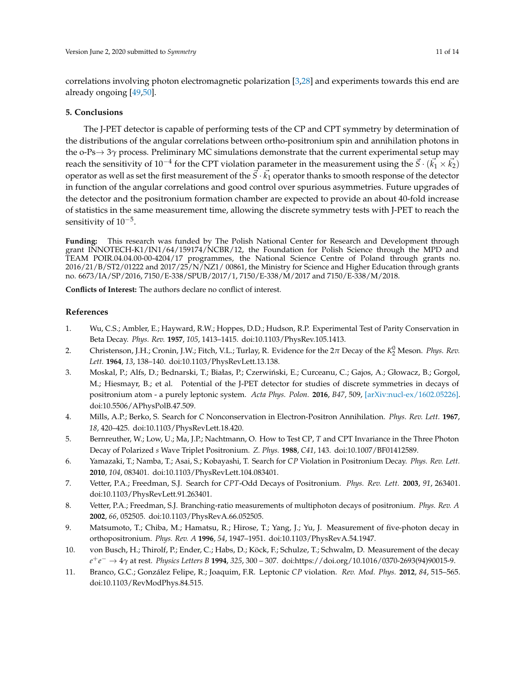correlations involving photon electromagnetic polarization [\[3](#page-10-2)[,28\]](#page-11-16) and experiments towards this end are already ongoing [\[49](#page-12-15)[,50\]](#page-13-0).

#### **5. Conclusions**

The J-PET detector is capable of performing tests of the CP and CPT symmetry by determination of the distributions of the angular correlations between ortho-positronium spin and annihilation photons in the o-Ps→ 3*γ* process. Preliminary MC simulations demonstrate that the current experimental setup may reach the sensitivity of 10<sup>-4</sup> for the CPT violation parameter in the measurement using the  $\vec{S} \cdot (\vec{k_1} \times \vec{k_2})$ operator as well as set the first measurement of the  $\vec{S}\cdot\vec{k_1}$  operator thanks to smooth response of the detector in function of the angular correlations and good control over spurious asymmetries. Future upgrades of the detector and the positronium formation chamber are expected to provide an about 40-fold increase of statistics in the same measurement time, allowing the discrete symmetry tests with J-PET to reach the sensitivity of  $10^{-5}$ .

**Funding:** This research was funded by The Polish National Center for Research and Development through grant INNOTECH-K1/IN1/64/159174/NCBR/12, the Foundation for Polish Science through the MPD and TEAM POIR.04.04.00-00-4204/17 programmes, the National Science Centre of Poland through grants no. 2016/21/B/ST2/01222 and 2017/25/N/NZ1/ 00861, the Ministry for Science and Higher Education through grants no. 6673/IA/SP/2016, 7150/E-338/SPUB/2017/1, 7150/E-338/M/2017 and 7150/E-338/M/2018.

**Conflicts of Interest:** The authors declare no conflict of interest.

## **References**

- <span id="page-10-0"></span>1. Wu, C.S.; Ambler, E.; Hayward, R.W.; Hoppes, D.D.; Hudson, R.P. Experimental Test of Parity Conservation in Beta Decay. *Phys. Rev.* **1957**, *105*, 1413–1415. doi[:10.1103/PhysRev.105.1413.](https://doi.org/10.1103/PhysRev.105.1413)
- <span id="page-10-1"></span>2. Christenson, J.H.; Cronin, J.W.; Fitch, V.L.; Turlay, R. Evidence for the 2π Decay of the K<sup>0</sup><sub>2</sub> Meson. *Phys. Rev. Lett.* **1964**, *13*, 138–140. doi[:10.1103/PhysRevLett.13.138.](https://doi.org/10.1103/PhysRevLett.13.138)
- <span id="page-10-2"></span>3. Moskal, P.; Alfs, D.; Bednarski, T.; Białas, P.; Czerwiński, E.; Curceanu, C.; Gajos, A.; Głowacz, B.; Gorgol, M.; Hiesmayr, B.; et al. Potential of the J-PET detector for studies of discrete symmetries in decays of positronium atom - a purely leptonic system. *Acta Phys. Polon.* **2016**, *B47*, 509, [\[arXiv:nucl-ex/1602.05226\].](http://xxx.lanl.gov/abs/1602.05226) doi[:10.5506/APhysPolB.47.509.](https://doi.org/10.5506/APhysPolB.47.509)
- <span id="page-10-3"></span>4. Mills, A.P.; Berko, S. Search for *C* Nonconservation in Electron-Positron Annihilation. *Phys. Rev. Lett.* **1967**, *18*, 420–425. doi[:10.1103/PhysRevLett.18.420.](https://doi.org/10.1103/PhysRevLett.18.420)
- <span id="page-10-4"></span>5. Bernreuther, W.; Low, U.; Ma, J.P.; Nachtmann, O. How to Test CP, *T* and CPT Invariance in the Three Photon Decay of Polarized *s* Wave Triplet Positronium. *Z. Phys.* **1988**, *C41*, 143. doi[:10.1007/BF01412589.](https://doi.org/10.1007/BF01412589)
- <span id="page-10-5"></span>6. Yamazaki, T.; Namba, T.; Asai, S.; Kobayashi, T. Search for *CP* Violation in Positronium Decay. *Phys. Rev. Lett.* **2010**, *104*, 083401. doi[:10.1103/PhysRevLett.104.083401.](https://doi.org/10.1103/PhysRevLett.104.083401)
- <span id="page-10-6"></span>7. Vetter, P.A.; Freedman, S.J. Search for *CPT*-Odd Decays of Positronium. *Phys. Rev. Lett.* **2003**, *91*, 263401. doi[:10.1103/PhysRevLett.91.263401.](https://doi.org/10.1103/PhysRevLett.91.263401)
- <span id="page-10-7"></span>8. Vetter, P.A.; Freedman, S.J. Branching-ratio measurements of multiphoton decays of positronium. *Phys. Rev. A* **2002**, *66*, 052505. doi[:10.1103/PhysRevA.66.052505.](https://doi.org/10.1103/PhysRevA.66.052505)
- <span id="page-10-8"></span>9. Matsumoto, T.; Chiba, M.; Hamatsu, R.; Hirose, T.; Yang, J.; Yu, J. Measurement of five-photon decay in orthopositronium. *Phys. Rev. A* **1996**, *54*, 1947–1951. doi[:10.1103/PhysRevA.54.1947.](https://doi.org/10.1103/PhysRevA.54.1947)
- <span id="page-10-9"></span>10. von Busch, H.; Thirolf, P.; Ender, C.; Habs, D.; Köck, F.; Schulze, T.; Schwalm, D. Measurement of the decay *e* +*e* <sup>−</sup> → 4*γ* at rest. *Physics Letters B* **1994**, *325*, 300 – 307. doi[:https://doi.org/10.1016/0370-2693\(94\)90015-9.](https://doi.org/https://doi.org/10.1016/0370-2693(94)90015-9)
- <span id="page-10-10"></span>11. Branco, G.C.; González Felipe, R.; Joaquim, F.R. Leptonic *CP* violation. *Rev. Mod. Phys.* **2012**, *84*, 515–565. doi[:10.1103/RevModPhys.84.515.](https://doi.org/10.1103/RevModPhys.84.515)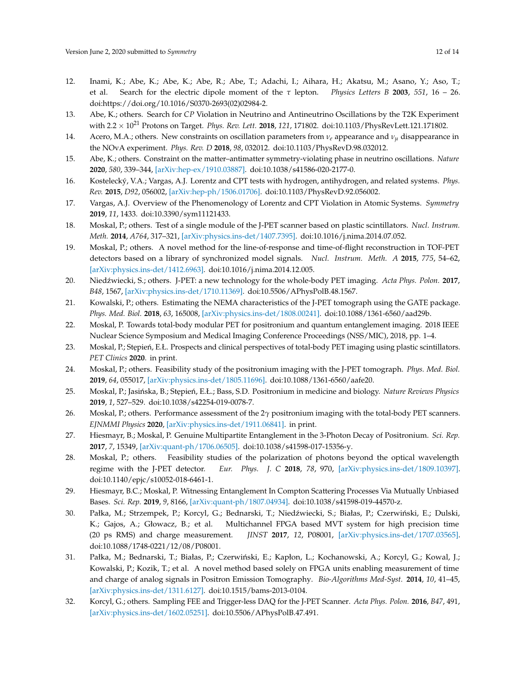- <span id="page-11-0"></span>12. Inami, K.; Abe, K.; Abe, K.; Abe, R.; Abe, T.; Adachi, I.; Aihara, H.; Akatsu, M.; Asano, Y.; Aso, T.; et al. Search for the electric dipole moment of the *τ* lepton. *Physics Letters B* **2003**, *551*, 16 – 26. doi[:https://doi.org/10.1016/S0370-2693\(02\)02984-2.](https://doi.org/https://doi.org/10.1016/S0370-2693(02)02984-2)
- <span id="page-11-1"></span>13. Abe, K.; others. Search for *CP* Violation in Neutrino and Antineutrino Oscillations by the T2K Experiment with 2.2 × 10<sup>21</sup> Protons on Target. *Phys. Rev. Lett.* **2018**, *121*, 171802. doi[:10.1103/PhysRevLett.121.171802.](https://doi.org/10.1103/PhysRevLett.121.171802)
- 14. Acero, M.A.; others. New constraints on oscillation parameters from  $v_e$  appearance and  $v_u$  disappearance in the NOvA experiment. *Phys. Rev. D* **2018**, *98*, 032012. doi[:10.1103/PhysRevD.98.032012.](https://doi.org/10.1103/PhysRevD.98.032012)
- <span id="page-11-2"></span>15. Abe, K.; others. Constraint on the matter–antimatter symmetry-violating phase in neutrino oscillations. *Nature* **2020**, *580*, 339–344, [\[arXiv:hep-ex/1910.03887\].](http://xxx.lanl.gov/abs/1910.03887) doi[:10.1038/s41586-020-2177-0.](https://doi.org/10.1038/s41586-020-2177-0)
- <span id="page-11-3"></span>16. Kostelecký, V.A.; Vargas, A.J. Lorentz and CPT tests with hydrogen, antihydrogen, and related systems. *Phys. Rev.* **2015**, *D92*, 056002, [\[arXiv:hep-ph/1506.01706\].](http://xxx.lanl.gov/abs/1506.01706) doi[:10.1103/PhysRevD.92.056002.](https://doi.org/10.1103/PhysRevD.92.056002)
- <span id="page-11-4"></span>17. Vargas, A.J. Overview of the Phenomenology of Lorentz and CPT Violation in Atomic Systems. *Symmetry* **2019**, *11*, 1433. doi[:10.3390/sym11121433.](https://doi.org/10.3390/sym11121433)
- <span id="page-11-5"></span>18. Moskal, P.; others. Test of a single module of the J-PET scanner based on plastic scintillators. *Nucl. Instrum. Meth.* **2014**, *A764*, 317–321, [\[arXiv:physics.ins-det/1407.7395\].](http://xxx.lanl.gov/abs/1407.7395) doi[:10.1016/j.nima.2014.07.052.](https://doi.org/10.1016/j.nima.2014.07.052)
- 19. Moskal, P.; others. A novel method for the line-of-response and time-of-flight reconstruction in TOF-PET detectors based on a library of synchronized model signals. *Nucl. Instrum. Meth. A* **2015**, *775*, 54–62, [\[arXiv:physics.ins-det/1412.6963\].](http://xxx.lanl.gov/abs/1412.6963) doi[:10.1016/j.nima.2014.12.005.](https://doi.org/10.1016/j.nima.2014.12.005)
- <span id="page-11-7"></span>20. Nied´zwiecki, S.; others. J-PET: a new technology for the whole-body PET imaging. *Acta Phys. Polon.* **2017**, *B48*, 1567, [\[arXiv:physics.ins-det/1710.11369\].](http://xxx.lanl.gov/abs/1710.11369) doi[:10.5506/APhysPolB.48.1567.](https://doi.org/10.5506/APhysPolB.48.1567)
- <span id="page-11-6"></span>21. Kowalski, P.; others. Estimating the NEMA characteristics of the J-PET tomograph using the GATE package. *Phys. Med. Biol.* **2018**, *63*, 165008, [\[arXiv:physics.ins-det/1808.00241\].](http://xxx.lanl.gov/abs/1808.00241) doi[:10.1088/1361-6560/aad29b.](https://doi.org/10.1088/1361-6560/aad29b)
- <span id="page-11-8"></span>22. Moskal, P. Towards total-body modular PET for positronium and quantum entanglement imaging. 2018 IEEE Nuclear Science Symposium and Medical Imaging Conference Proceedings (NSS/MIC), 2018, pp. 1–4.
- <span id="page-11-9"></span>23. Moskal, P.; Stepień, E.Ł. Prospects and clinical perspectives of total-body PET imaging using plastic scintillators. *PET Clinics* **2020**. in print.
- <span id="page-11-10"></span>24. Moskal, P.; others. Feasibility study of the positronium imaging with the J-PET tomograph. *Phys. Med. Biol.* **2019**, *64*, 055017, [\[arXiv:physics.ins-det/1805.11696\].](http://xxx.lanl.gov/abs/1805.11696) doi[:10.1088/1361-6560/aafe20.](https://doi.org/10.1088/1361-6560/aafe20)
- 25. Moskal, P.; Jasińska, B.; Stępień, E.Ł.; Bass, S.D. Positronium in medicine and biology. *Nature Reviews Physics* **2019**, *1*, 527–529. doi[:10.1038/s42254-019-0078-7.](https://doi.org/10.1038/s42254-019-0078-7)
- <span id="page-11-11"></span>26. Moskal, P.; others. Performance assessment of the 2*γ* positronium imaging with the total-body PET scanners. *EJNMMI Physics* **2020**, [\[arXiv:physics.ins-det/1911.06841\].](http://xxx.lanl.gov/abs/1911.06841) in print.
- <span id="page-11-12"></span>27. Hiesmayr, B.; Moskal, P. Genuine Multipartite Entanglement in the 3-Photon Decay of Positronium. *Sci. Rep.* **2017**, *7*, 15349, [\[arXiv:quant-ph/1706.06505\].](http://xxx.lanl.gov/abs/1706.06505) doi[:10.1038/s41598-017-15356-y.](https://doi.org/10.1038/s41598-017-15356-y)
- <span id="page-11-16"></span>28. Moskal, P.; others. Feasibility studies of the polarization of photons beyond the optical wavelength regime with the J-PET detector. *Eur. Phys. J. C* **2018**, *78*, 970, [\[arXiv:physics.ins-det/1809.10397\].](http://xxx.lanl.gov/abs/1809.10397) doi[:10.1140/epjc/s10052-018-6461-1.](https://doi.org/10.1140/epjc/s10052-018-6461-1)
- <span id="page-11-13"></span>29. Hiesmayr, B.C.; Moskal, P. Witnessing Entanglement In Compton Scattering Processes Via Mutually Unbiased Bases. *Sci. Rep.* **2019**, *9*, 8166, [\[arXiv:quant-ph/1807.04934\].](http://xxx.lanl.gov/abs/1807.04934) doi[:10.1038/s41598-019-44570-z.](https://doi.org/10.1038/s41598-019-44570-z)
- <span id="page-11-14"></span>30. Pałka, M.; Strzempek, P.; Korcyl, G.; Bednarski, T.; Niedźwiecki, S.; Białas, P.; Czerwiński, E.; Dulski, K.; Gajos, A.; Głowacz, B.; et al. Multichannel FPGA based MVT system for high precision time (20 ps RMS) and charge measurement. *JINST* **2017**, *12*, P08001, [\[arXiv:physics.ins-det/1707.03565\].](http://xxx.lanl.gov/abs/1707.03565) doi[:10.1088/1748-0221/12/08/P08001.](https://doi.org/10.1088/1748-0221/12/08/P08001)
- 31. Pałka, M.; Bednarski, T.; Białas, P.; Czerwiński, E.; Kapłon, L.; Kochanowski, A.; Korcyl, G.; Kowal, J.; Kowalski, P.; Kozik, T.; et al. A novel method based solely on FPGA units enabling measurement of time and charge of analog signals in Positron Emission Tomography. *Bio-Algorithms Med-Syst.* **2014**, *10*, 41–45, [\[arXiv:physics.ins-det/1311.6127\].](http://xxx.lanl.gov/abs/1311.6127) doi[:10.1515/bams-2013-0104.](https://doi.org/10.1515/bams-2013-0104)
- <span id="page-11-15"></span>32. Korcyl, G.; others. Sampling FEE and Trigger-less DAQ for the J-PET Scanner. *Acta Phys. Polon.* **2016**, *B47*, 491, [\[arXiv:physics.ins-det/1602.05251\].](http://xxx.lanl.gov/abs/1602.05251) doi[:10.5506/APhysPolB.47.491.](https://doi.org/10.5506/APhysPolB.47.491)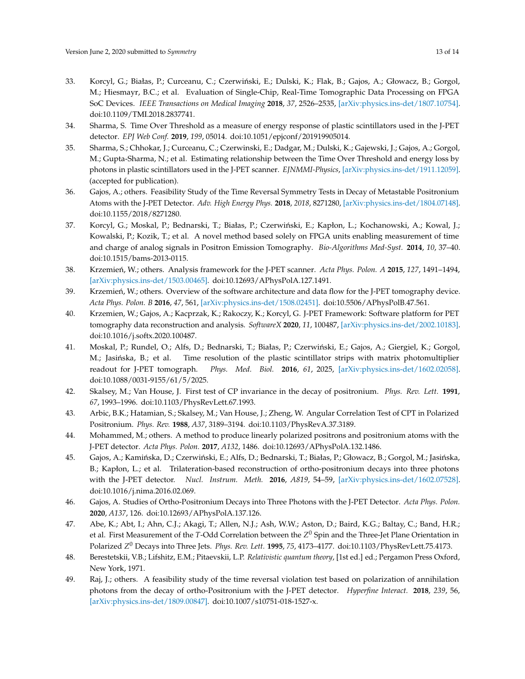- <span id="page-12-0"></span>33. Korcyl, G.; Białas, P.; Curceanu, C.; Czerwiński, E.; Dulski, K.; Flak, B.; Gajos, A.; Głowacz, B.; Gorgol, M.; Hiesmayr, B.C.; et al. Evaluation of Single-Chip, Real-Time Tomographic Data Processing on FPGA SoC Devices. *IEEE Transactions on Medical Imaging* **2018**, *37*, 2526–2535, [\[arXiv:physics.ins-det/1807.10754\].](http://xxx.lanl.gov/abs/1807.10754) doi[:10.1109/TMI.2018.2837741.](https://doi.org/10.1109/TMI.2018.2837741)
- <span id="page-12-1"></span>34. Sharma, S. Time Over Threshold as a measure of energy response of plastic scintillators used in the J-PET detector. *EPJ Web Conf.* **2019**, *199*, 05014. doi[:10.1051/epjconf/201919905014.](https://doi.org/10.1051/epjconf/201919905014)
- <span id="page-12-2"></span>35. Sharma, S.; Chhokar, J.; Curceanu, C.; Czerwinski, E.; Dadgar, M.; Dulski, K.; Gajewski, J.; Gajos, A.; Gorgol, M.; Gupta-Sharma, N.; et al. Estimating relationship between the Time Over Threshold and energy loss by photons in plastic scintillators used in the J-PET scanner. *EJNMMI-Physics*, [\[arXiv:physics.ins-det/1911.12059\].](http://xxx.lanl.gov/abs/1911.12059) (accepted for publication).
- <span id="page-12-3"></span>36. Gajos, A.; others. Feasibility Study of the Time Reversal Symmetry Tests in Decay of Metastable Positronium Atoms with the J-PET Detector. *Adv. High Energy Phys.* **2018**, *2018*, 8271280, [\[arXiv:physics.ins-det/1804.07148\].](http://xxx.lanl.gov/abs/1804.07148) doi[:10.1155/2018/8271280.](https://doi.org/10.1155/2018/8271280)
- <span id="page-12-4"></span>37. Korcyl, G.; Moskal, P.; Bednarski, T.; Białas, P.; Czerwiński, E.; Kapłon, L.; Kochanowski, A.; Kowal, J.; Kowalski, P.; Kozik, T.; et al. A novel method based solely on FPGA units enabling measurement of time and charge of analog signals in Positron Emission Tomography. *Bio-Algorithms Med-Syst.* **2014**, *10*, 37–40. doi[:10.1515/bams-2013-0115.](https://doi.org/10.1515/bams-2013-0115)
- <span id="page-12-5"></span>38. Krzemień, W.; others. Analysis framework for the J-PET scanner. *Acta Phys. Polon. A* 2015, 127, 1491–1494, [\[arXiv:physics.ins-det/1503.00465\].](http://xxx.lanl.gov/abs/1503.00465) doi[:10.12693/APhysPolA.127.1491.](https://doi.org/10.12693/APhysPolA.127.1491)
- 39. Krzemień, W.; others. Overview of the software architecture and data flow for the J-PET tomography device. *Acta Phys. Polon. B* **2016**, *47*, 561, [\[arXiv:physics.ins-det/1508.02451\].](http://xxx.lanl.gov/abs/1508.02451) doi[:10.5506/APhysPolB.47.561.](https://doi.org/10.5506/APhysPolB.47.561)
- <span id="page-12-6"></span>40. Krzemien, W.; Gajos, A.; Kacprzak, K.; Rakoczy, K.; Korcyl, G. J-PET Framework: Software platform for PET tomography data reconstruction and analysis. *SoftwareX* **2020**, *11*, 100487, [\[arXiv:physics.ins-det/2002.10183\].](http://xxx.lanl.gov/abs/2002.10183) doi[:10.1016/j.softx.2020.100487.](https://doi.org/10.1016/j.softx.2020.100487)
- <span id="page-12-7"></span>41. Moskal, P.; Rundel, O.; Alfs, D.; Bednarski, T.; Białas, P.; Czerwiński, E.; Gajos, A.; Giergiel, K.; Gorgol, M.; Jasińska, B.; et al. Time resolution of the plastic scintillator strips with matrix photomultiplier readout for J-PET tomograph. *Phys. Med. Biol.* **2016**, *61*, 2025, [\[arXiv:physics.ins-det/1602.02058\].](http://xxx.lanl.gov/abs/1602.02058) doi[:10.1088/0031-9155/61/5/2025.](https://doi.org/10.1088/0031-9155/61/5/2025)
- <span id="page-12-8"></span>42. Skalsey, M.; Van House, J. First test of CP invariance in the decay of positronium. *Phys. Rev. Lett.* **1991**, *67*, 1993–1996. doi[:10.1103/PhysRevLett.67.1993.](https://doi.org/10.1103/PhysRevLett.67.1993)
- <span id="page-12-9"></span>43. Arbic, B.K.; Hatamian, S.; Skalsey, M.; Van House, J.; Zheng, W. Angular Correlation Test of CPT in Polarized Positronium. *Phys. Rev.* **1988**, *A37*, 3189–3194. doi[:10.1103/PhysRevA.37.3189.](https://doi.org/10.1103/PhysRevA.37.3189)
- <span id="page-12-10"></span>44. Mohammed, M.; others. A method to produce linearly polarized positrons and positronium atoms with the J-PET detector. *Acta Phys. Polon.* **2017**, *A132*, 1486. doi[:10.12693/APhysPolA.132.1486.](https://doi.org/10.12693/APhysPolA.132.1486)
- <span id="page-12-11"></span>45. Gajos, A.; Kamińska, D.; Czerwiński, E.; Alfs, D.; Bednarski, T.; Białas, P.; Głowacz, B.; Gorgol, M.; Jasińska, B.; Kapłon, L.; et al. Trilateration-based reconstruction of ortho-positronium decays into three photons with the J-PET detector. *Nucl. Instrum. Meth.* **2016**, *A819*, 54–59, [\[arXiv:physics.ins-det/1602.07528\].](http://xxx.lanl.gov/abs/1602.07528) doi[:10.1016/j.nima.2016.02.069.](https://doi.org/10.1016/j.nima.2016.02.069)
- <span id="page-12-12"></span>46. Gajos, A. Studies of Ortho-Positronium Decays into Three Photons with the J-PET Detector. *Acta Phys. Polon.* **2020**, *A137*, 126. doi[:10.12693/APhysPolA.137.126.](https://doi.org/10.12693/APhysPolA.137.126)
- <span id="page-12-13"></span>47. Abe, K.; Abt, I.; Ahn, C.J.; Akagi, T.; Allen, N.J.; Ash, W.W.; Aston, D.; Baird, K.G.; Baltay, C.; Band, H.R.; et al. First Measurement of the *T*-Odd Correlation between the *Z* <sup>0</sup> Spin and the Three-Jet Plane Orientation in Polarized *Z* <sup>0</sup> Decays into Three Jets. *Phys. Rev. Lett.* **1995**, *75*, 4173–4177. doi[:10.1103/PhysRevLett.75.4173.](https://doi.org/10.1103/PhysRevLett.75.4173)
- <span id="page-12-14"></span>48. Berestetskii, V.B.; Lifshitz, E.M.; Pitaevskii, L.P. *Relativistic quantum theory*, [1st ed.] ed.; Pergamon Press Oxford, New York, 1971.
- <span id="page-12-15"></span>49. Raj, J.; others. A feasibility study of the time reversal violation test based on polarization of annihilation photons from the decay of ortho-Positronium with the J-PET detector. *Hyperfine Interact.* **2018**, *239*, 56, [\[arXiv:physics.ins-det/1809.00847\].](http://xxx.lanl.gov/abs/1809.00847) doi[:10.1007/s10751-018-1527-x.](https://doi.org/10.1007/s10751-018-1527-x)